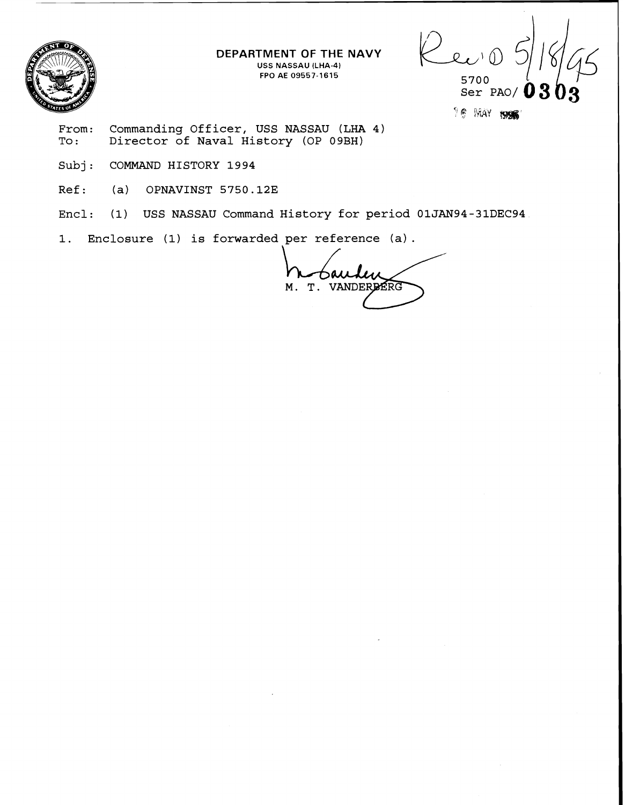

**DEPARTMENT OF THE NAVY USS NASSAU (LHA-4)** 

Lec'e **FPO AE 09557-1615 5700**  03

TE MAY 1995

- **From: Commanding Officer, USS NASSAU (LHA 4) To** : **Director of Naval History (OP 09BH)**
- **Subj: COMMAND HISTORY 1994**
- **Ref: (a) OPNAVINST 5750.123**
- **Encl: (1) USS NASSAU Command History for period 01JAN94-31DEC94**
- **1. Enclosure (1) is forwarded per reference (a)** .

Bauden M. T. VANDERBERG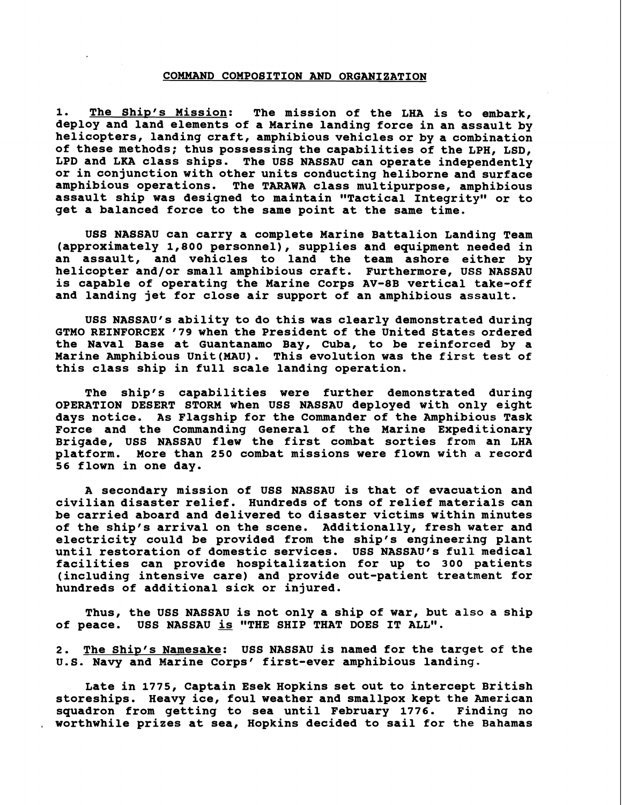### **COMMAND COMPOBITION AND ORGANIZATION**

**1. The Ship's Mission: The mission of the LHA is to embark, deploy and land elements of a Marine landing force in an assault by helicopters, landing craft, amphibious vehicles or by a combination of these methods; thus possessing the capabilities of the LPH, LSD, LPD and LKA class ships. The USS NASSAU can operate independently or in conjunction with other units conducting heliborne and surface amphibious operations. The TARAWA class multipurpose, amphibious assault ship was designed to maintain "Tactical Integrity" or to get a balanced force to the same point at the same time.** 

**US8 NASSAU can carry a complete Marine Battalion Landing Team (approximately 1,800 personnel), supplies and equipment needed in an assault, and vehicles to land the team ashore either by helicopter and/or small amphibious craft. Furthermore, USS NASSAU is capable of operating the Marine Corps AV-8B vertical take-off and landing jet for close air support of an amphibious assault.** 

USS NASSAU's ability to do this was clearly demonstrated during **GTMO REINFORCEX '79 when the President of the United States ordered the Naval Base at Guantanamo Bay, Cuba, to be reinforced by a Marine Amphibious Unit(MAU). This evolution was the first test of this class ship in full scale landing operation.** 

**The ship's capabilities were further demonstrated during OPERATION DESERT STORM when USS NASSAU deployed with only eight days notice. As Flagship for the Commander of the Amphibious Task Force and the Commanding Genera1 of the Marine Expeditionary Brigade, USS NASSAU flew the first combat sorties from an LHA platform. More than 250 combat missions were flown with a record 56 flown in one day.** 

**A secondary mission of USS NASSAU is that of evacuation and civilian disaster relief. Hundreds of tons of relief materials can be carried aboard and delivered to disaster victims within minutes of the ship's arrival on the scene. Additionally, fresh water and electricity could be provided from the ship's engineering plant**  until restoration of domestic services. USS NASSAU's full medical **facilities can provide hospitalization for up to 300 patients (including intensive care) and provide out-patient treatment for hundreds of additional sick or injured.** 

**Thus, the USS NASSAU is not only a ship of war, but also a ship of peace. USS NASSAU is "THE SHIP THAT DOES IT ALL".** 

2. The Ship's Namesake: USS NASSAU is named for the target of the U.S. Navy and Marine Corps' first-ever amphibious landing.

**Late in 1775, Captain Esek Hopkins set out to intercept British storeships. Heavy ice, foul weather and smallpox kept the American squadron from getting to sea until February 1776. Finding no** , **worthwhile prizes at sea, Hopkins decided to sail for the Bahamas**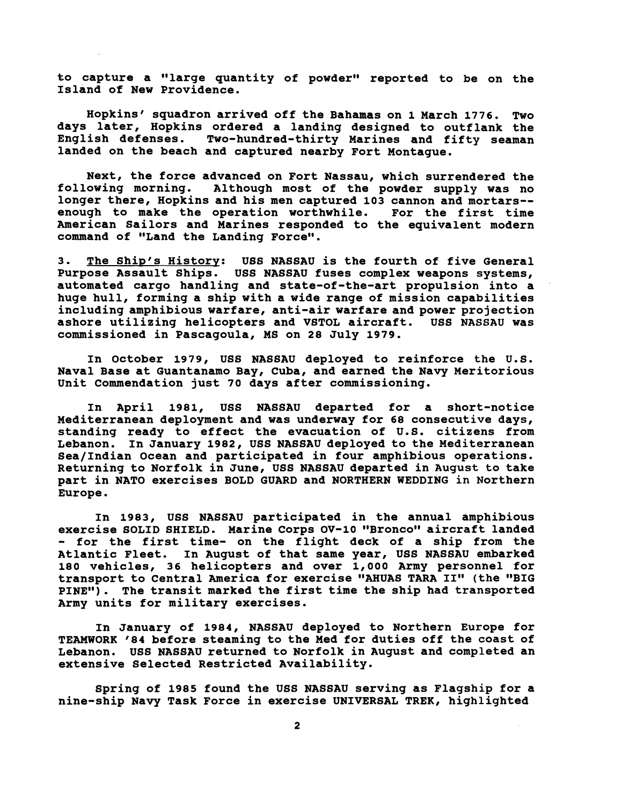to capture a "large quantity of powder" reported to be on the **Island of New Providence.** 

**Hopkins squadron arrived off the Bahamas on 1 March 1776. Two days later, Hopkins ordered a landing designed to outflank the English defenses. Two-hundred-thirty Marines and fifty seaman landed on the beach and captured nearby Fort Montague.** 

**Next, the force advanced on Fort Nassau, which surrendered the**  Although most of the powder supply was no **longer there, Hopkins and his men captured 103 cannon and mortars-**  enough to make the operation worthwhile. **American Sailors and Marines responded to the equivalent modern**  command of "Land the Landing Force".

**3. The Shiv's History: USS NASSAU is the fourth of five General Purpose Assault Ships. USS NASSAU fuses complex weapons systems, automated cargo handling and state-of-the-art propulsion into a huge hull, forming a ship with a wide range of mission capabilities including amphibious warfare, anti-air warfare and power projection ashore utilizing helicopters and VSTOL aircraft. USS NASSAU was commissioned in Pascagoula, MS on 28 July 1979.** 

**In October 1979, USS NASSAU deployed to reinforce the U.S. Naval Base at Guantanamo Bay, Cuba, and earned the Navy Meritorious Unit Commendation just 70 days after commissioning.** 

**In April 1981, USS NASSAU departed for a short-notice Mediterranean deployment and was underway for 68 consecutive days, standing ready to effect the evacuation of U.S. citizens from Lebanon. In January 1982, USS NASSAU deployed to the Mediterranean SealIndian Ocean and participated in four amphibious operations. Returning to Norfolk in June, USS NASSAU departed in August to take part in NATO exercises BOLD GUARD and NORTHERN WEDDING in Northern Europe.** 

**In 1983, USS NASSAU participated in the annual amphibious**  exercise SOLID SHIELD. Marine Corps OV-10 "Bronco" aircraft landed - **for the first time- on the flight deck of a ship from the Atlantic Fleet. In August of that same year, USS NASSAU embarked 180 vehicles, 36 helicopters and over 1,000 Army personnel for**  transport to Central America for exercise "AHUAS TARA II" (the "BIG **PINEw). The transit marked the first time the ship had transported Army units for military exercises.** 

**In January of 1984, NASSAU deployed to Northern Europe for TEAMWORK '84 before steaming to the Med for duties off the coast of Lebanon. USS NASSAU returned to Norfolk in August and completed an extensive Selected Restricted Availability.** 

**Spring of 1985 found the USS NASSAU serving as Flagship for a nine-ship Navy Task Force in exercise UNIVERSAL TREK, highlighted**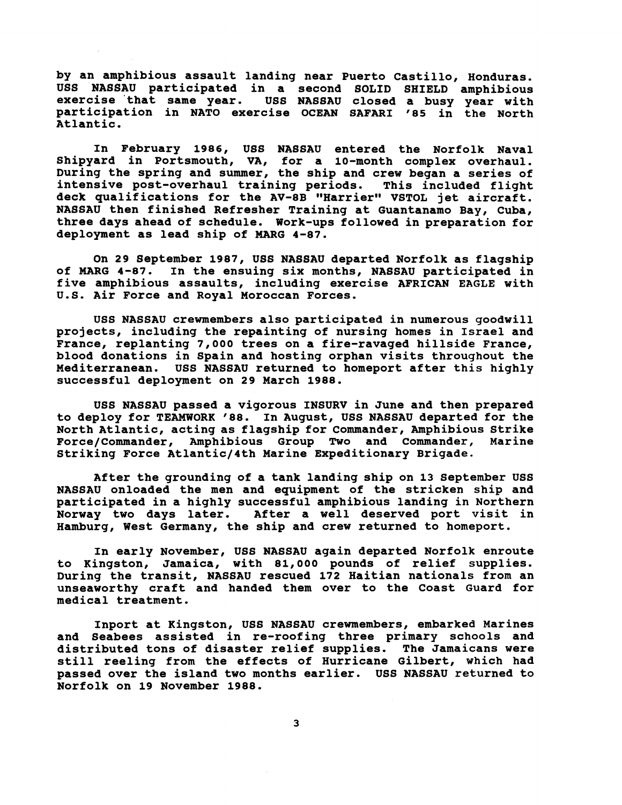**by an amphibious assault landing near Puerto Castillo, Honduras. USS NASSAU participated in a second SOLID SHIELD amphibious exercise 'that same year. USS NASSAU closed a busy year with participation in NATO exercise OCEAN SAFARI '85 in the North Atlantic.** 

**In February 1986, USS NASSAU entered the Norfolk Naval Shipyard in Portsmouth, VA, for a 10-month complex overhaul. During the spring and summer, the ship and crew began a series of intensive post-overhaul training periods. This included flight**  deck qualifications for the AV-8B "Harrier" VSTOL jet aircraft. **NASSAU then finished Refresher Training at Guantanamo Bay, Cuba, three days ahead of schedule. Work-ups followed in preparation for deployment as lead ship of MARG 4-87.** 

**On 29 September 1987, USS NASSAU departed Norfolk as flagship of MARG 4-87. In the ensuing six months, NASSAU participated in five amphibious assaults, including exercise AFRICAN EAGLE with U.S. Air Force and Royal Moroccan Forces.** 

**USS NASSAU crewmembers also participated in numerous goodwill projects, including the repainting of nursing homes in Israel and France, replanting 7,000 trees on a fire-ravaged hillside France, blood donations in Spain and hosting orphan visits throughout the Mediterranean. USS NASSAU returned to homeport after this highly successful deployment on 29 March 1988.** 

**USS NASSAU passed a vigorous INSURV in June and then prepared to deploy for TEAMWORK** ' **88. In August, USS NASSAU departed for the North Atlantic, acting as flagship for Commander, Amphibious Strike**  Force/Commander, Amphibious Group Two and Commander, **Striking Force Atlantic/4th Marine Expeditionary Brigade.** 

**After the grounding of a tank landing ship on 13 September USS NASSAU onloaded the men and equipment of the stricken ship and participated in a highly successful amphibious landing in Northern Norway two days later. After a well deserved port visit in Hamburg, West Germany, the ship and crew returned to homeport.** 

**In early November, USS NASSAU again departed Norfolk enroute to Kingston, Jamaica, with 81,000 pounds of relief supplies. During the transit, NASSAU rescued 172 Haitian nationals from an unseaworthy craft and handed them over to the Coast Guard for medical treatment.** 

**Inport at Kingston, US6 NASSAU crewmembers, embarked Marines and Seabees assisted in re-roofing three primary schools and distributed tons of disaster relief supplies. The Jamaicans were still reeling from the effects of Hurricane Gilbert, which had passed over the island two months earlier. USS NASSAU returned to Norfolk on 19 November 1988.**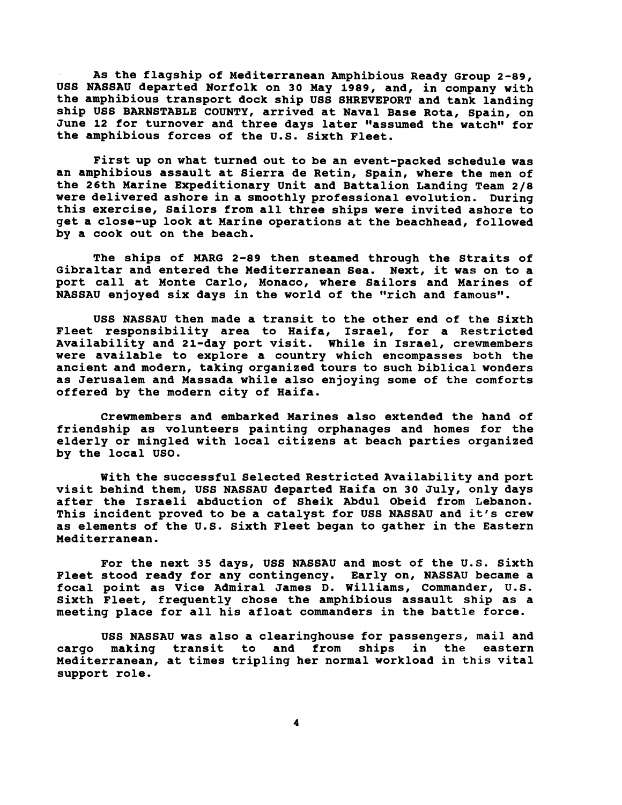**As the flagship of Mediterranean Amphibious Ready Group 2-89, US8 NASSAU departed Norfolk on 30 May 1989, and, in company with the amphibious transport dock ship US6 SHREVEPORT and tank landing ship USS BARNSTABLE COUNTY, arrived at Naval Base Rota, spain, on**  June 12 for turnover and three days later "assumed the watch" for **the amphibious forces of the U.S. Sixth Fleet.** 

**First up on what turned out to be an event-packed schedule was an amphibious assault at Sierra de Retin, Spain, where the men of the 26th Marine Expeditionary Unit and Battalion Landing Team 218 were delivered ashore in a smoothly professional evolution. During this exercise, Sailors from all three ships were invited ashore to get a close-up look at Marine operations at the beachhead, followed by a cook out on the beach.** 

**The ships of MARG 2-89 then steamed through the Straits of Gibraltar and entered the Mediterranean Sea. Next, it was on to a port call at Monte Carlo, Monaco, where Sailors and Marines of**  NASSAU enjoyed six days in the world of the "rich and famous".

**USS NASSAU then made a transit to the other end of the Sixth Fleet responsibility area to Haifa, Israel, for a Restricted Availability and 21-day port visit. While in Israel, crewmembers were available to explore a country which encompasses both the ancient and modern, taking organized tours to such biblical wonders as Jerusalem and Massada while also enjoying some of the comforts offered by the modern city of Haifa.** 

**Crewmembers and embarked Marines also extended the hand of friendship as volunteers painting orphanages and homes for the elderly or mingled with local citizens at beach parties organized by the local USO.** 

**With the successful Selected Restricted Availability and port visit behind them, US6 NASSAU departed Haifa on 30 July, only days after the Israeli abduction of Sheik Abdul Obeid from Lebanon. This incident proved to be a catalyst for USS NASSAU and it's crew as elements of the U.S. Sixth Fleet began to gather in the Eastern Mediterranean.** 

**For the next 35 days, US6 NASSAU and most of the U.S. Sixth Fleet stood ready for any contingency. Early on, NASSAU became a focal point as Vice Admiral James D. Williams, Commander, U.S. Sixth Fleet, frequently chose the amphibious assault ship as a meeting place for all his afloat commanders in the battle force.** 

**USS NASSAU was also a clearinghouse for passengers, mail and cargo making transit to and from ships in the eastern Mediterranean, at times tripling her normal workload in this vital support role.**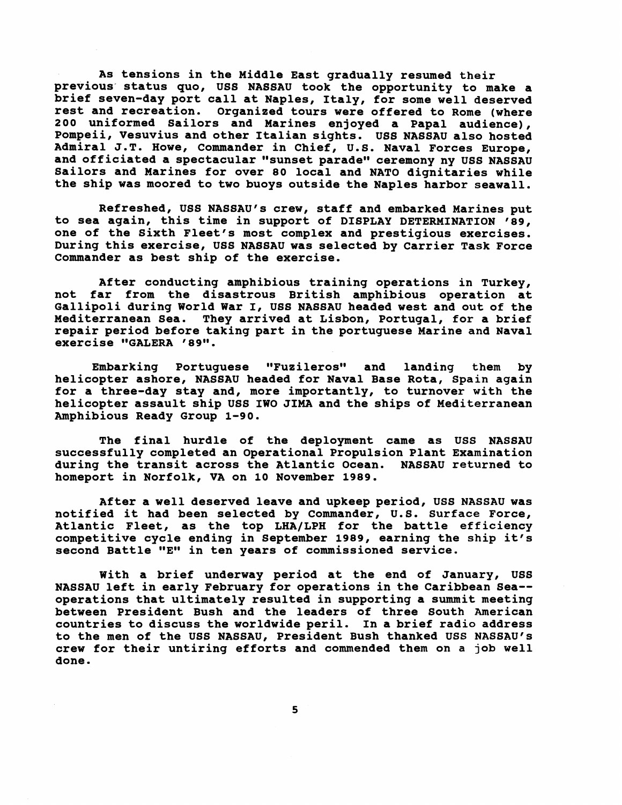**As tensions in the Middle East gradually resumed their**  previous status quo, USS NASSAU took the opportunity to make a **brief seven-day port call at Naples, Italy, for some well deserved**  Organized tours were offered to Rome (where **200 uniformed Sailors and Marines enjoyed a Papal audience), Pompeii, Vesuvius and other Italian sights. US8 NASSAU also hosted Admiral J.T. Howe, Commander in Chief, U.S. Naval Forces Europe, and officiated a spectacular "sunset paradew ceremony ny USS NASSAU Sailors and Marines for over 80 local and NATO dignitaries while the ship was moored to two buoys outside the Naples harbor seawall.** 

**Refreshed, USS NASSAU'S crew, staff and embarked Marines put to sea again, this time in support of DISPLAY DETERMINATION '89, one of the Sixth Fleet's most complex and prestigious exercises. During this exercise, USS NASSAU was selected by Carrier Task Force Commander as best ship of the exercise.** 

**After conducting amphibious training operations in Turkey,**  not far from the disastrous British amphibious operation at **Gallipoli during World War I, USS NASSAU headed west and out of the Mediterranean Sea. They arrived at Lisbon, Portugal, for a brief repair period before taking part in the Portuguese Marine and Naval exercise "GALERA '89".** 

Embarking Portuguese "Fuzileros" and landing them by **helicopter ashore, NASSAU headed for Naval Base Rota, Spain again for a three-day stay and, more importantly, to turnover with the helicopter assault ship USS IWO JIMA and the ships of Mediterranean Amphibious Ready Group 1-90.** 

**The final hurdle of the deployment came as USS NASSAU successfully completed an Operational Propulsion Plant Examination during the transit across the Atlantic Ocean. NASSAU returned to homeport in Norfolk, VA on 10 November 1989.** 

**After a well deserved leave and upkeep period, USS NASSAU was notified it had been selected by Commander, U.S. Surface Force, Atlantic Fleet, as the top LHA/LPH for the battle efficiency competitive cycle ending in September 1989, earning the ship it's**  second Battle "E" in ten years of commissioned service.

**With a brief underway period at the end of January, US8 NASSAU left in early February for operations in the Caribbean Sea- operations that ultimately resulted in supporting a summit meeting between President Bush and the leaders of three South American countries to discuss the worldwide peril. In a brief radio address to the men of the USS NASSAU, President Bush thanked USS NASSAU'S crew for their untiring efforts and commended them on a job well done.**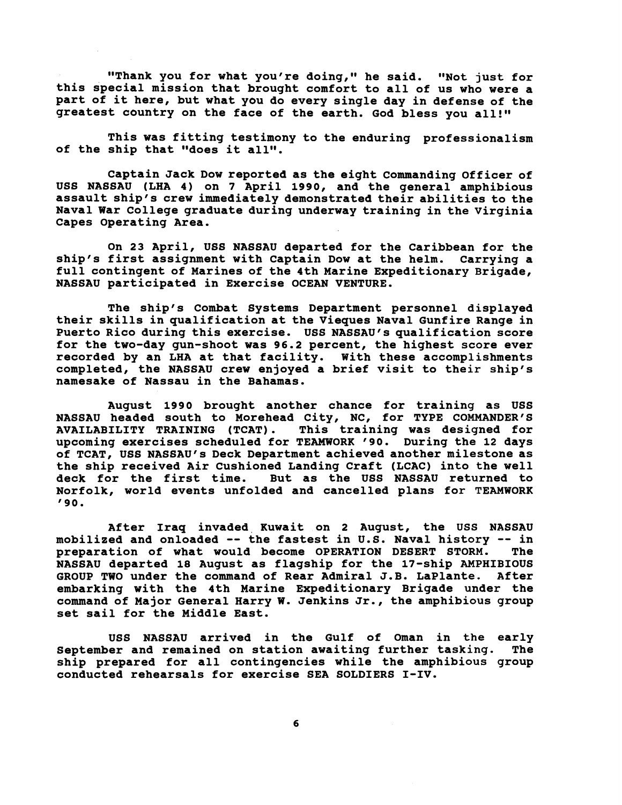"Thank you for what you're doing," he said. "Not just for **this special mission that brought comfort to all of us who were a part of it here, but what you do every single day in defense of the greatest country on the face of the earth. God bless you all!"** 

**This was fitting testimony to the enduring professionalism**  of the ship that "does it all".

**Captain Jack Dow reported as the eight Conmanding Officer of USS NASSAU (LHA 4) on 7 April 1990, and the general amphibious assault ship's crew immediately demonstrated their abilities to the Naval War College graduate during underway training in the Virginia Capes Operating Area.** 

**On 23 April, USS NASSAU departed for the Caribbean for the ship's first assignment with Captain Dow at the helm. Carrying a full contingent of Marines of the 4th Marine Expeditionary Brigade, NASSAU participated in Exercise OCEAN VENTURE.** 

**The ship's Combat Systems Department personnel displayed their skills in qualification at the Vieques Naval Gunfire Range in Puerto Rico during this exercise. USS NASSAU'S qualification score for the two-day gun-shoot was 96.2 percent, the highest score ever recorded by an LHA at that facility. With these accomplishments completed, the NASSAU crew enjoyed a brief visit to their ship's namesake of Nassau in the Bahamas.** 

**August 1990 brought another chance for training as USS NASSAU headed south to Morehead City, NC, for TYPE COMMANDER'S AVAILABILITY TRAINING (TCAT). This training was designed for upcoming exercises scheduled for TEAMWORK '90. During the 12 days of TCAT, USS NASSAU'S Deck Department achieved another milestone as the ship received Air Cushioned Landing Craft (LCAC) into the well deck for the first time. But as the USS NASSAU returned to Norfolk, world events unfolded and cancelled plans for TEAMWORK '90.** 

**After Iraq invaded, Kuwait on 2 August, the USS NASSAU mobilized and onloaded** -- **the fastest in U.S. Naval history** -- **in**  preparation of what would become OPERATION DESERT STORM. **NASSAU departed 18 August as flagship for the 17-ship AMPHIBIOUS GROUP TWO under the command of Rear Admiral J.B. LaPlante. After embarking with the 4th Marine Expeditionary Brigade under the command of Major General Harry W. Jenkins Jr., the amphibious group set sail for the Middle East.** 

**USS NASSAU arrived in the Gulf of Oman in the early September and remained on station awaiting further tasking. The ship prepared for all contingencies while the amphibious group conducted rehearsals for exercise SEA SOLDIERS I-IV.**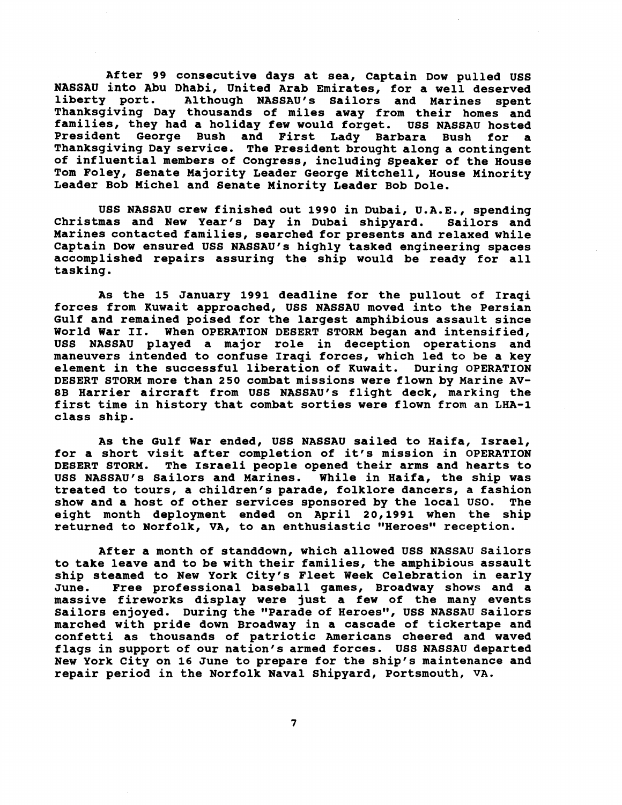**After 99 consecutive days at sea, Captain Dow pulled uss NASSAU into Abu Dhabi, United Arab Emirates, for a well deserved liberty port. Although NASSAU's Sailors and Marines spent liberty port. Although NASSAU'S Sailors and Marines spent Thanksgiving Day thousands of miles away from their homes and families, they had a holiday few would forget. USS NASSAU hosted President George Bush and First Lady Barbara Bush for a Thanksgiving Day service. The President brought along a contingent of influential members of Congress, including speaker of the House Tom Foley, Senate Majority Leader George Mitchell, House Minority Leader Bob Michel and Senate Minority Leader Bob Dole.** 

**USS NASSAU crew finished out 1990 in Dubai, U.A.E., spending Christmas and New Year's Day in Dubai shipyard. Sailors and Marines contacted families, searched for presents and relaxed while**  Captain Dow ensured USS NASSAU's highly tasked engineering spaces **accomplished repairs assuring the ship would be ready for all tasking.** 

**As the 15 January 1991 deadline for the pullout of Iraqi forces from Kuwait approached, USS NASSAU moved into the Persian Gulf and remained poised for the largest amphibious assault since World War 11. When OPERATION DESERT STORM began and intensified, USS NASSAU played a major role in deception operations and maneuvers intended to confuse Iraqi forces, which led to be a key element in the successful liberation of Kuwait. During OPERATION DESERT STORM more than 250 combat missions were flown by Marine AV-8B Harrier aircraft from USS NASSAUfs flight deck, marking the first time in history that combat sorties were flown from an LHA-1 class ship.** 

**As the Gulf War ended, USS NASSAU sailed to Haifa, Israel, for a short visit after completion of it's mission in OPERATION DESERT STORM. The Israeli people opened their arms and hearts to USS NASSAU'S Sailors and Marines. While in Haifa, the ship was treated to tours, a children's parade, folklore dancers, a fashion show and a host of other services sponsored by the local USO. The**  eight month deployment ended on April 20,1991 when the ship **returned to Norfolk, VA, to an enthusiastic "Heroes" reception.** 

**After a month of standdown, which allowed USS NASSAU Sailors to take leave and to be with their families, the amphibious assault ship steamed to New York City's Fleet Week Celebration in early June. Free professional baseball games, Broadway shows and a massive fireworks display were just a few of the many events**  Sailors enjoyed. During the "Parade of Heroes", USS NASSAU Sailors **marched with pride down Broadway in a cascade of tickertape and confetti as thousands of patriotic Americans cheered and waved flags in support of our nation's armed forces. USS NASSAU departed New York City on 16 June to prepare for the ship's maintenance and repair period in the Norfolk Naval Shipyard, Portsmouth, VA.**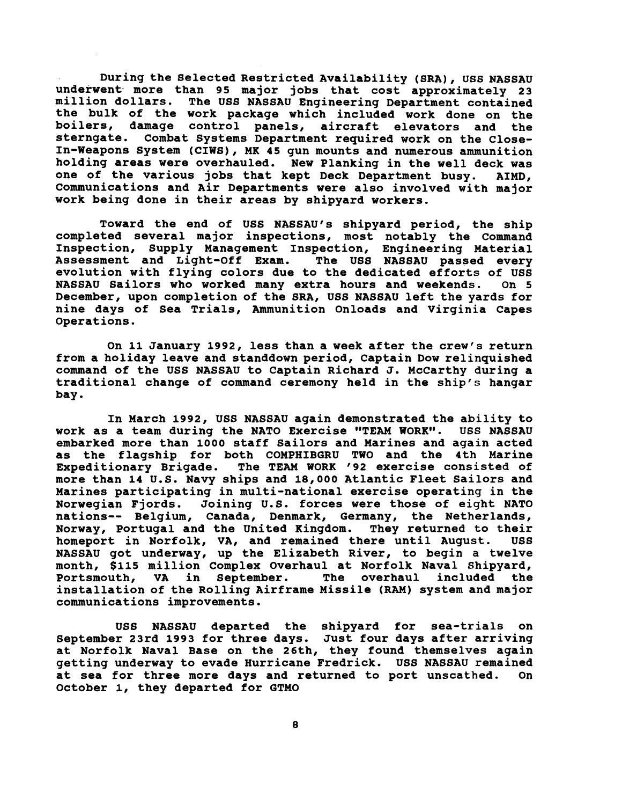**During the Selected Restricted Availability (SRA), US6 NASSAU underwent. more than 95 major jobs that cost approximately 23 million dollars. The USS NASSAU Engineering Department contained the bulk of the work package which included work done on the boilers, damage control panels, aircraft elevators and the sterngate. Combat Systems Department required work on the Close-In-Weapons System (CIWS), MK 45 gun mounts and numerous ammunition holding areas were overhauled. New Planking in the well deck was one of the various jobs that kept Deck Department busy. AIMD,**  Communications and Air Departments were also involved with major **work being done in their areas by shipyard workers.** 

Toward the end of USS NASSAU's shipyard period, the ship **completed several major inspections, most notably the Command Inspection, Supply Management Inspection, Engineering Material Assessment and Light-off Exam. The USS NASSAU passed every evolution with flying colors due to the dedicated efforts of USS NASSAU Sailors who worked many extra hours and weekends. On 5 December, upon completion of the SRA, USS NASSAU left the yards for nine days of Sea Trials, Ammunition Onloads and Virginia Capes Operations.** 

On 11 January 1992, less than a week after the crew's return **from a holiday leave and standdown period, Captain Dow relinquished command of the USS NASSAU to Captain Richard J. McCarthy during a traditional change of command ceremony held in the ship's hangar bay.** 

**In March 1992, USS NASSAU again demonstrated the ability to work as a team during the NATO Exercise "TEAM WORK". embarked more than 1000 staff Sailors and Marines and again acted as the flagship for both COMPHIBGRU TWO and the 4th Marine**  The TEAM WORK '92 exercise consisted of **more than 14 U.S. Navy ships and 18,000 Atlantic Fleet Sailors and Marines participating in multi-national exercise operating in the Norwegian Fjords. Joining U.S. forces were those of eight NATO nations-- Belgium, Canada, Denmark, Germany, the Netherlands, Norway, Portugal and the United Kingdom. They returned to their homeport in Norfolk, VA, and remained there until August. USS NASSAU got underway, up the Elizabeth River, to begin a twelve month, \$115 million Complex Overhaul at Norfolk Naval Shipyard,**  The overhaul included the **installation of the Rolling Airframe Missile (RAM) system and major communications improvements.** 

**US8 NASSAU departed the shipyard for sea-trials on September 23rd 1993 for three days. Just four days after arriving at Norfolk Naval Base on the 26th, they found themselves again getting underway to evade Hurricane Fredrick. USS NASSAU remained at sea for three more days and returned to port unscathed. On October 1, they departed for GTMO**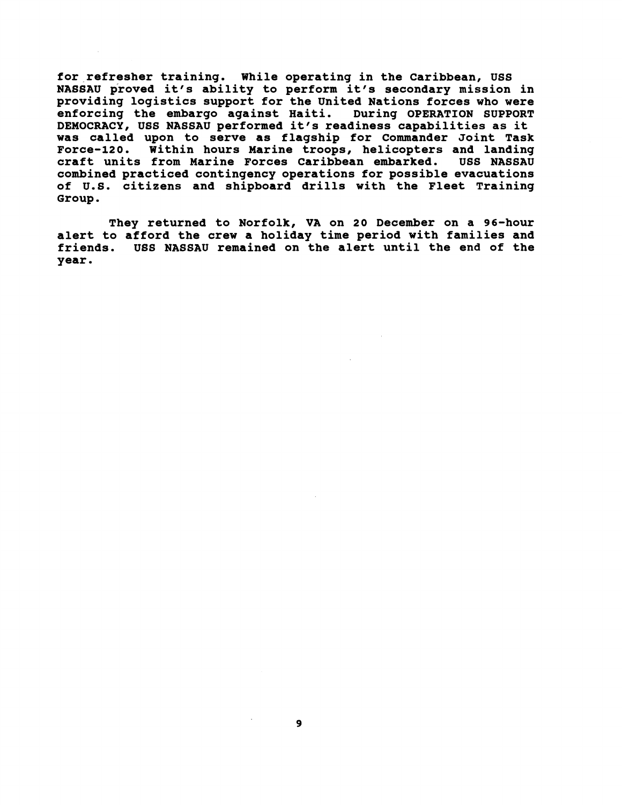**for refresher training. While operating in the Caribbean, USS**  NASSAU proved it's ability to perform it's secondary mission in **providing logistics support for the United Nations forces who were enforcing the embargo against Haiti. During OPERATION SUPPORT DEMOCRACY, USS NASSAU performed it's readiness capabilities as it was called upon to serve as flagship for Commander Joint Task Force-120. Within hours Marine troops, helicopters and landing craft units from Marine Forces Caribbean embarked. USS NASSAU combined practiced contingency operations for possible evacuations of U.S. citizens and shipboard drills with the Fleet Training Group.** 

**They returned to Norfolk, VA on 20 December on a 96-hour alert to afford the crew a holiday time period with families and friends. USS NASSAU remained on the alert until the end of the year.**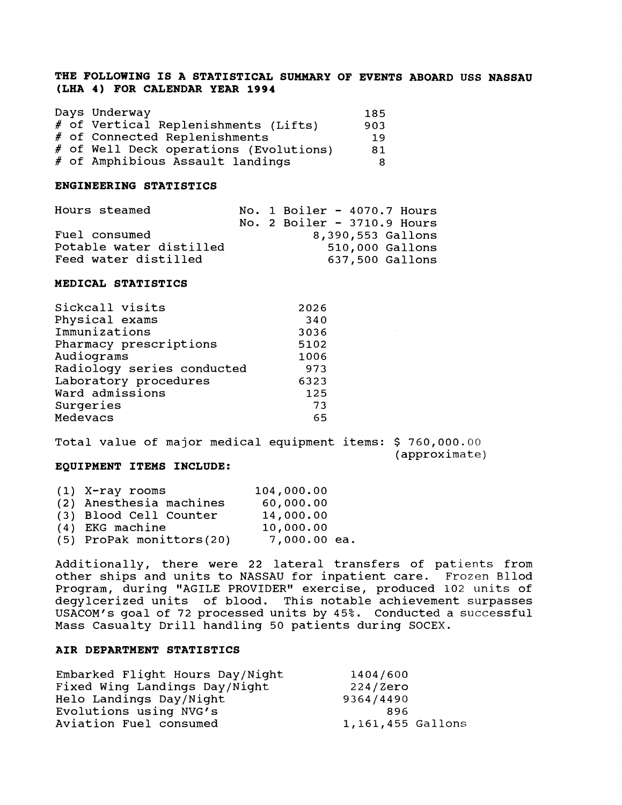### **THE FOLLOWING IS A STATISTICAL SUMMARY OF EVENTS ABOARD USS NASSAU (LHA 4) FOR CALENDAR YEAR 1994**

|  | Days Underway                          | 185 |
|--|----------------------------------------|-----|
|  | # of Vertical Replenishments (Lifts)   | 903 |
|  | # of Connected Replenishments          | 19  |
|  | # of Well Deck operations (Evolutions) | 81  |
|  | # of Amphibious Assault landings       | 8   |

### **ENGINEERING STATISTICS**

| Hours steamed           | No. 1 Boiler - $4070.7$ Hours<br>No. 2 Boiler $-3710.9$ Hours |
|-------------------------|---------------------------------------------------------------|
| Fuel consumed           | 8,390,553 Gallons                                             |
| Potable water distilled | 510,000 Gallons                                               |
| Feed water distilled    | 637,500 Gallons                                               |

### **MEDICAL STATISTICS**

| Sickcall visits            | 2026 |
|----------------------------|------|
| Physical exams             | 340  |
| Immunizations              | 3036 |
| Pharmacy prescriptions     | 5102 |
| Audiograms                 | 1006 |
| Radiology series conducted | 973  |
| Laboratory procedures      | 6323 |
| Ward admissions            | 125  |
| Surgeries                  | 73   |
| Medevacs                   | 65   |
|                            |      |

### Total value of major medical equipment items: \$ 760,000.00

(approximate)

### **EQUIPMENT ITEMS INCLUDE:**

| $(1)$ X-ray rooms        | 104,000.00   |
|--------------------------|--------------|
| (2) Anesthesia machines  | 60,000.00    |
| (3) Blood Cell Counter   | 14,000.00    |
| (4) EKG machine          | 10,000.00    |
| (5) ProPak monittors(20) | 7,000.00 ea. |

Additionally, there were 22 lateral transfers of patients from other ships and units to NASSAU for inpatient care. Frozen Bllod Program, during "AGILE PROVIDER" exercise, produced 102 units of degylcerized units of blood. This notable achievement surpasses USACOM's goal of 72 processed units by 45%. Conducted a successful Mass Casualty Drill handling 50 patients during SOCEX.

### **AIR DEPARTMENT STATISTICS**

| Embarked Flight Hours Day/Night | 1404/600          |
|---------------------------------|-------------------|
| Fixed Wing Landings Day/Night   | 224/Zero          |
| Helo Landings Day/Night         | 9364/4490         |
| Evolutions using NVG's          | 896               |
| Aviation Fuel consumed          | 1,161,455 Gallons |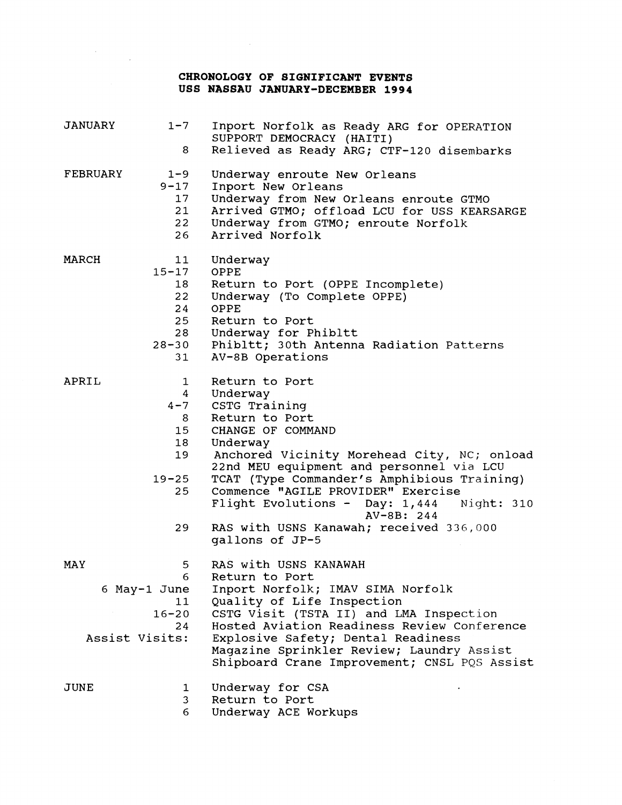## **CHRONOLOGY OF SIGNIFICANT EVENTS USS NASSAU JANUARY-DECEMBER 1994**

 $\label{eq:2.1} \frac{1}{\sqrt{2}}\sum_{i=1}^n\frac{1}{\sqrt{2}}\sum_{j=1}^n\frac{1}{\sqrt{2}}\sum_{j=1}^n\frac{1}{\sqrt{2}}\sum_{j=1}^n\frac{1}{\sqrt{2}}\sum_{j=1}^n\frac{1}{\sqrt{2}}\sum_{j=1}^n\frac{1}{\sqrt{2}}\sum_{j=1}^n\frac{1}{\sqrt{2}}\sum_{j=1}^n\frac{1}{\sqrt{2}}\sum_{j=1}^n\frac{1}{\sqrt{2}}\sum_{j=1}^n\frac{1}{\sqrt{2}}\sum_{j=1}^n\frac$ 

| JANUARY         | $1 - 7$         | Inport Norfolk as Ready ARG for OPERATION<br>SUPPORT DEMOCRACY (HAITI)                    |
|-----------------|-----------------|-------------------------------------------------------------------------------------------|
|                 | 8               | Relieved as Ready ARG; CTF-120 disembarks                                                 |
| <b>FEBRUARY</b> | $1 - 9$         | Underway enroute New Orleans                                                              |
|                 | $9 - 17$        | Inport New Orleans                                                                        |
|                 | 17 <sub>2</sub> | Underway from New Orleans enroute GTMO                                                    |
|                 | 21              | Arrived GTMO; offload LCU for USS KEARSARGE                                               |
|                 | 22<br>26        | Underway from GTMO; enroute Norfolk<br>Arrived Norfolk                                    |
| MARCH           | 11              | Underway                                                                                  |
|                 | $15 - 17$       | OPPE                                                                                      |
|                 | 18              | Return to Port (OPPE Incomplete)                                                          |
|                 | 22              | Underway (To Complete OPPE)                                                               |
|                 | 24              | OPPE                                                                                      |
|                 | 25              | Return to Port                                                                            |
|                 | 28              | Underway for Phibltt                                                                      |
|                 | $28 - 30$       | Phibltt; 30th Antenna Radiation Patterns                                                  |
|                 | 31              | AV-8B Operations                                                                          |
| APRIL           | $\mathbf{1}$    | Return to Port                                                                            |
|                 | $4 \quad$       | Underway                                                                                  |
|                 | $4 - 7$         | CSTG Training                                                                             |
|                 | 8               | Return to Port                                                                            |
|                 | 15              | CHANGE OF COMMAND                                                                         |
|                 | 18              | Underway                                                                                  |
|                 | 19              | Anchored Vicinity Morehead City, NC; onload<br>22nd MEU equipment and personnel via LCU   |
|                 | $19 - 25$       | TCAT (Type Commander's Amphibious Training)                                               |
|                 | 25              | Commence "AGILE PROVIDER" Exercise                                                        |
|                 |                 | Flight Evolutions - Day: 1,444 Night: 310<br>$AV-8B: 244$                                 |
|                 | 29              | RAS with USNS Kanawah; received 336,000<br>gallons of JP-5                                |
|                 |                 |                                                                                           |
| MAY             | 5               | RAS with USNS KANAWAH                                                                     |
|                 | 6               | Return to Port                                                                            |
|                 | 6 May-1 June    | Inport Norfolk; IMAV SIMA Norfolk                                                         |
|                 | 11              | Quality of Life Inspection                                                                |
|                 | $16 - 20$       | CSTG Visit (TSTA II) and LMA Inspection                                                   |
|                 | 24              | Hosted Aviation Readiness Review Conference                                               |
|                 | Assist Visits:  | Explosive Safety; Dental Readiness                                                        |
|                 |                 | Magazine Sprinkler Review; Laundry Assist<br>Shipboard Crane Improvement; CNSL PQS Assist |
| JUNE            | $\mathbf 1$     | Underway for CSA                                                                          |
|                 | 3               | Return to Port                                                                            |
|                 | 6.              | Underway ACE Workups                                                                      |
|                 |                 |                                                                                           |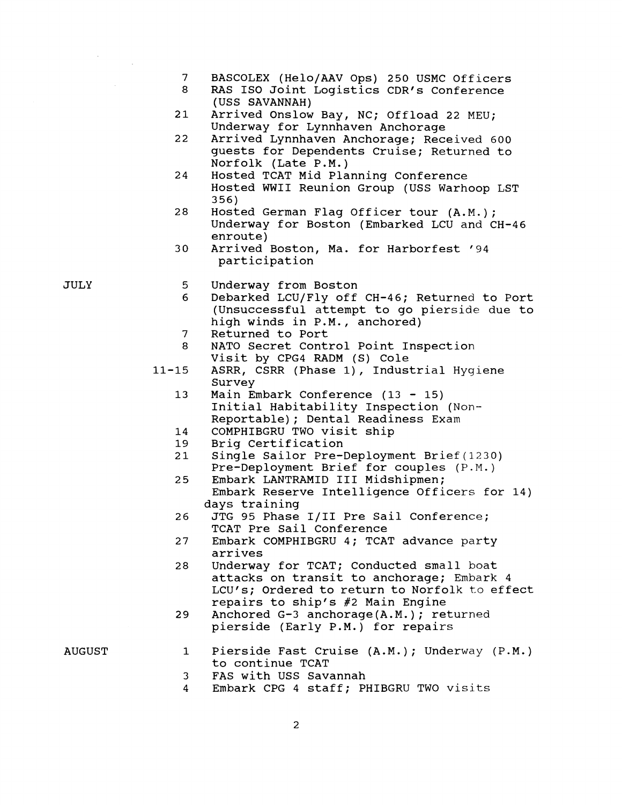- $7\phantom{.0}$ BASCOLEX (Helo/AAV Ops) 250 USMC Officers
- 8 RAS ISO Joint Logistics CDR's Conference (USS SAVANNAH)
- $21$ Arrived Onslow Bay, NC; Offload 22 MEU; Underway for Lynnhaven Anchorage
- 22 Arrived Lynnhaven Anchorage; Received 600 guests for Dependents Cruise; Returned to Norfolk (Late P.M.)
- 24 Hosted TCAT Mid Planning Conference Hosted WWII Reunion Group (USS Warhoop LST 356)
- Hosted German Flag Officer tour (A.M.); 28 Underway for Boston (Embarked LCU and CH-46 enroute)
- 30 Arrived Boston, Ma. for Harborfest '94 participation

Underway from Boston 5

- 6 Debarked LCU/Fly off CH-46; Returned to Port (Unsuccessful attempt to go pierside due to high winds in P.M., anchored)
- Returned to Port 7
- NATO Secret Control Point Inspection 8 Visit by CPG4 RADM (S) Cole
- $11 15$ ASRR, CSRR (Phase I), Industrial Hygiene Survey
	- $13$ Main Embark Conference  $(13 - 15)$ Initial Habitability Inspection (Non-Reportable); Dental Readiness Exam
	- COMPHIBGRU TWO visit ship 14
	- 19 Brig Certification
	- $21$ Single Sailor Pre-Deployment Brief(1230) Pre-Deployment Brief for couples (P.M.)
	- 25 Embark LANTRAMID I11 Midshipmen; Embark Reserve Intelligence Officers for 14) days training
	- JTG 95 Phase 1/11 Pre Sail Conference; 26 TCAT Pre Sail Conference
	- Embark COMPHIBGRU 4; TCAT advance party 27 arrives
	- Underway for TCAT; Conducted small boat 28 attacks on transit to anchorage; Embark 4 LCU's; Ordered to return to Norfolk to effect repairs to ship's #2 Main Engine
	- 29 Anchored G-3 anchorage(A.M.); returned pierside (Early P.M.) for repairs
- AUGUST
- Pierside Fast Cruise (A.M.); Underway (P.M.) 1 to continue TCAT
- 3 FAS with USS Savannah
- Embark CPG 4 staff; PHIBGRU TWO visits  $\overline{4}$

JULY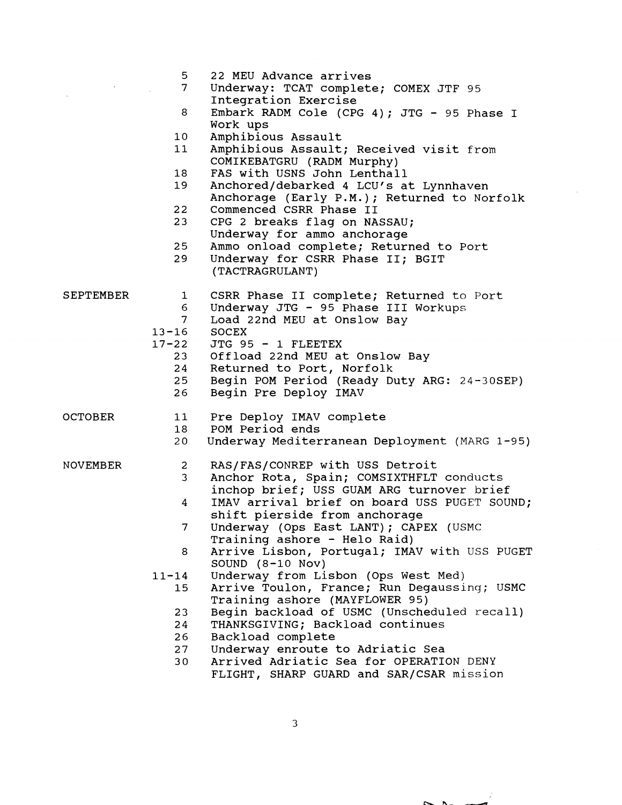|           | 5.              | 22 MEU Advance arrives                                 |
|-----------|-----------------|--------------------------------------------------------|
|           | 7 <sup>7</sup>  | Underway: TCAT complete; COMEX JTF 95                  |
|           | 8               | Integration Exercise                                   |
|           |                 | Embark RADM Cole (CPG 4); JTG - 95 Phase I<br>Work ups |
|           | 10 <sub>1</sub> | Amphibious Assault                                     |
|           | 11              | Amphibious Assault; Received visit from                |
|           |                 | COMIKEBATGRU (RADM Murphy)                             |
|           | 18              | FAS with USNS John Lenthall                            |
|           | 19              | Anchored/debarked 4 LCU's at Lynnhaven                 |
|           |                 | Anchorage (Early P.M.); Returned to Norfolk            |
|           | 22              | Commenced CSRR Phase II                                |
|           | 23              | CPG 2 breaks flag on NASSAU;                           |
|           |                 | Underway for ammo anchorage                            |
|           | 25              | Ammo onload complete; Returned to Port                 |
|           | 29              | Underway for CSRR Phase II; BGIT                       |
|           |                 | (TACTRAGRULANT)                                        |
|           |                 |                                                        |
| SEPTEMBER | $\mathbf{1}$    | CSRR Phase II complete; Returned to Port               |
|           | 6               | Underway JTG - 95 Phase III Workups                    |
|           | $7^{\circ}$     | Load 22nd MEU at Onslow Bay                            |
|           | $13 - 16$       | <b>SOCEX</b>                                           |
|           | $17 - 22$       | JTG 95 - 1 FLEETEX                                     |
|           | 23              | Offload 22nd MEU at Onslow Bay                         |
|           | 24              | Returned to Port, Norfolk                              |
|           | $25 -$          | Begin POM Period (Ready Duty ARG: 24-30SEP)            |
|           | 26              | Begin Pre Deploy IMAV                                  |
| OCTOBER   | 11              | Pre Deploy IMAV complete                               |
|           | 18              | POM Period ends                                        |
|           | 20              | Underway Mediterranean Deployment (MARG 1-95)          |
|           |                 |                                                        |
| NOVEMBER  | $\mathbf{2}$    | RAS/FAS/CONREP with USS Detroit                        |
|           | 3 <sup>7</sup>  | Anchor Rota, Spain; COMSIXTHFLT conducts               |
|           |                 | inchop brief; USS GUAM ARG turnover brief              |
|           | 4               | IMAV arrival brief on board USS PUGET SOUND;           |
|           |                 | shift pierside from anchorage                          |
|           | 7               | Underway (Ops East LANT); CAPEX (USMC                  |
|           |                 | Training ashore - Helo Raid)                           |
|           | 8               | Arrive Lisbon, Portugal; IMAV with USS PUGET           |
|           |                 | SOUND $(8-10$ Nov)                                     |
|           | $11 - 14$       | Underway from Lisbon (Ops West Med)                    |
|           | 15              | Arrive Toulon, France; Run Degaussing; USMC            |
|           |                 | Training ashore (MAYFLOWER 95)                         |
|           | 23              | Begin backload of USMC (Unscheduled recall)            |
|           | 24              | THANKSGIVING; Backload continues                       |
|           | 26              | Backload complete                                      |
|           | 27              | Underway enroute to Adriatic Sea                       |
|           | 30 <sub>o</sub> | Arrived Adriatic Sea for OPERATION DENY                |
|           |                 | FLIGHT, SHARP GUARD and SAR/CSAR mission               |

 $\overline{3}$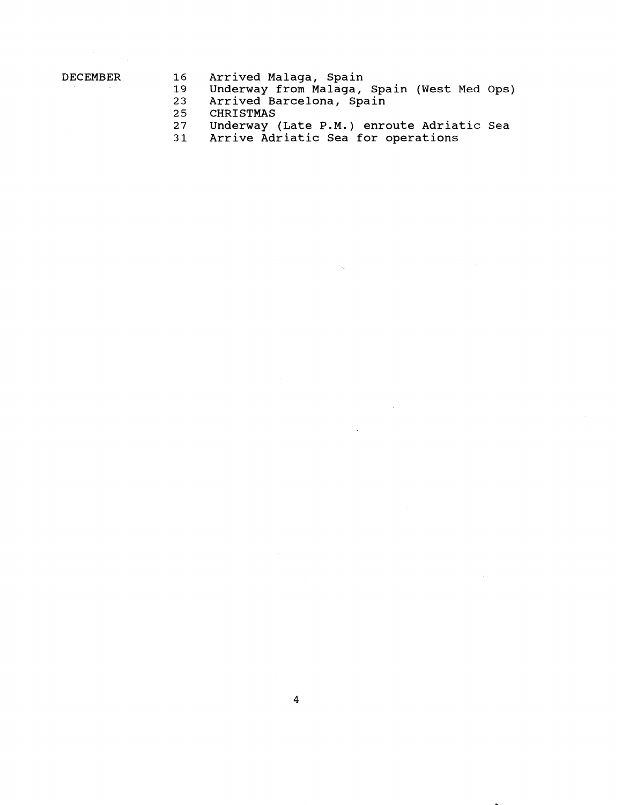$\mathcal{L}_{\mathcal{A}}$ 

- **DECEMBER 16 Arrived Malaga, Spain** 
	- **19 Underway from Malaga, Spain (West Med Ops)** 
		- **23 Arrived Barcelona, Spain**
		- **25 CHRISTMAS**
		- **27 Underway (Late P.M.) enroute Adriatic Sea**

 $\bar{\mathbf{v}}$ 

**31 Arrive Adriatic Sea for operations**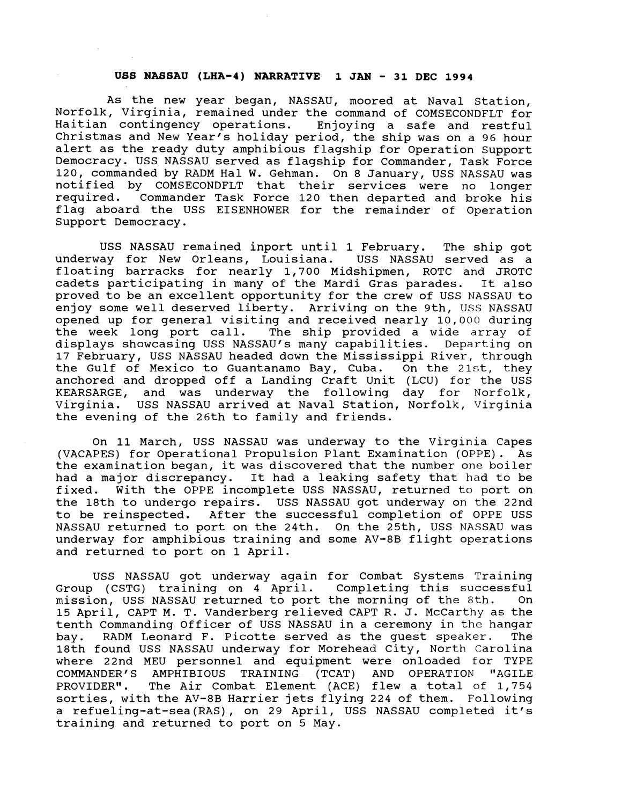### **USS NASSAU (LHA-4) NARRATIVE 1 JAN** - **31 DEC 1994**

As the new year began, NASSAU, moored at Naval Station, Norfolk, Virginia, remained under the command of COMSECONDFLT for Haitian contingency operations. Enjoying a safe and restful Christmas and New Year's holiday period, the ship was on a 96 hour alert as the ready duty amphibious flagship for Operation Support Democracy. USS NASSAU served as flagship for Commander, Task Force 120, commanded by RADM Hal W. Gehman. On 8 January, USS NASSAU was notified by COMSECONDFLT that their services were no longer required. Commander Task Force 120 then departed and broke his flag aboard the USS EISENHOWER for the remainder of Operation Support Democracy.

USS NASSAU remained inport until 1 February. The ship got underway for New Orleans, Louisiana. USS NASSAU served as a floating barracks for nearly 1,700 Midshipmen, ROTC and JROTC cadets participating in many of the Mardi Gras parades. It also proved to be an excellent opportunity for the crew of USS NASSAU to enjoy some well deserved liberty. Arriving on the 9th, USS NASSAU opened up for general visiting and received nearly 10,OOo during the week long port call. The ship provided a wide array of displays showcasing USS NASSAU'S many capabilities. Departing on 17 February, USS NASSAU headed down the Mississippi River, through the Gulf of Mexico to Guantanamo Bay, Cuba. On the 21st, they anchored and dropped off a Landing Craft Unit (LCU) for the USS KEARSARGE, and was underway the following day for Norfolk, Virginia. USS NASSAU arrived at Naval Station, Norfolk, Virginia the evening of the 26th to family and friends.

On 11 March, USS NASSAU was underway to the Virginia Capes (VACAPES) for Operational Propulsion Plant Examination (OPPE). As the examination began, it was discovered that the number one boiler had a major discrepancy. It had a leaking safety that had to be fixed. With the OPPE incomplete USS NASSAU, returned to port on the 18th to undergo repairs. USS NASSAU got underway on the 22nd to be reinspected. After the successful completion of OPPE USS NASSAU returned to port on the 24th. On the 25th, USS NASSAU was underway for amphibious training and some AV-8B flight operations and returned to port on 1 April.

USS NASSAU got underway again for Combat Systems Training Group (CSTG) training on 4 April. Completing this successful mission, USS NASSAU returned to port the morning of the 8th. 15 April, CAPT M. T. Vanderberg relieved CAPT R. J. McCarthy as the tenth Commanding Officer of USS NASSAU in a ceremony in the hangar bay. RADM Leonard F. Picotte served as the guest speaker. The 18th found USS NASSAU underway for Morehead City, North Carolina where 22nd MEU personnel and equipment were onloaded for TYPE COMMANDER'S AMPHIBIOUS TRAINING (TCAT) AND OPERATION "AGILE PROVIDER". The Air Combat Element (ACE) flew a total of 1,754 sorties, with the AV-8B Harrier jets flying 224 of them. Following a refueling-at-sea(RAS) , on 29 April, USS NASSAU completed it's training and returned to port on 5 May.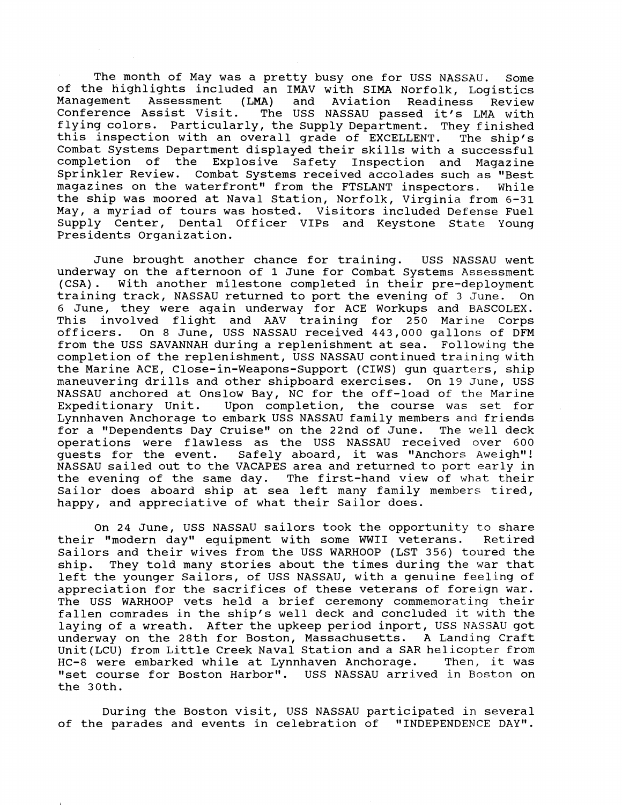The month of May was a pretty busy one for USS NASSAU. Some of the highlights included an IMAV with SIMA Norfolk, Logistics<br>Management Assessment (LMA) and Aviation Readiness Review Management Assessment (LMA) and Aviation Readiness Review The USS NASSAU passed it's LMA with flying colors. Particularly, the Supply Department. They finished this inspection with an overall grade of EXCELLENT. The ship's Combat Systems Department displayed their skills with a successful completion of the Explosive Safety Inspection and Magazine Sprinkler Review. Combat Systems received accolades such as "Best magazines on the waterfront" from the FTSLANT inspectors. While the ship was moored at Naval Station, Norfolk, Virginia from 6-31 May, a myriad of tours was hosted. Visitors included Defense Fuel Supply Center, Dental Officer VIPs and Keystone State Young Presidents Organization.

June brought another chance for training. USS NASSAU went underway on the afternoon of 1 June for Combat Systems Assessment (CSA). With another milestone completed in their pre-deployment training track, NASSAU returned to port the evening of 3 June. On 6 June, they were again underway for ACE Workups and BASCOLEX. This involved flight and AAV training for 250 Marine Corps officers. On 8 June, USS NASSAU received 443,000 gallons of DFM from the USS SAVANNAH during a replenishment at sea. Following the completion of the replenishment, USS NASSAU continued training with the Marine ACE, Close-in-Weapons-Support (CIWS) gun quarters, ship maneuvering drills and other shipboard exercises. On 19 June, USS NASSAU anchored at Onslow Bay, NC for the off-load of the Marine Expeditionary Unit. Upon completion, the course was set for Lynnhaven Anchorage to embark USS NASSAU family members and friends for a "Dependents Day Cruise" on the 22nd of June. The well deck for a "Dependents Day Cruise" on the 22nd of June. operations were flawless as the USS NASSAU received over 600<br>quests for the event. Safely aboard, it was "Anchors Aweigh"! Safely aboard, it was "Anchors Aweigh"! NASSAU sailed out to the VACAPES area and returned to port early in the evening of the same day. The first-hand view of what their Sailor does aboard ship at sea left many family members tired, happy, and appreciative of what their Sailor does.

On 24 June, USS NASSAU sailors took the opportunity to share their "modern day" equipment with some WWII veterans. Retired Sailors and their wives from the USS WARHOOP (LST 356) toured the ship. They told many stories about the times during the war that left the younger Sailors, of USS NASSAU, with a genuine feeling of appreciation for the sacrifices of these veterans of foreign war. The USS WARHOOP vets held a brief ceremony commemorating their fallen comrades in the ship's well deck and concluded it with the laying of a wreath. After the upkeep period inport, USS NASSAU got underway on the 28th for Boston, Massachusetts. A Landing Craft Unit(LCU) from Little Creek Naval Station and a SAR helicopter from<br>HC-8 were embarked while at Lynnhaven Anchorage. Then, it was HC-8 were embarked while at Lynnhaven Anchorage. "set course for Boston Harbor". USS NASSAU arrived in Boston on the 30th.

During the Boston visit, USS NASSAU participated in several of the parades and events in celebration of "INDEPENDENCE DAY".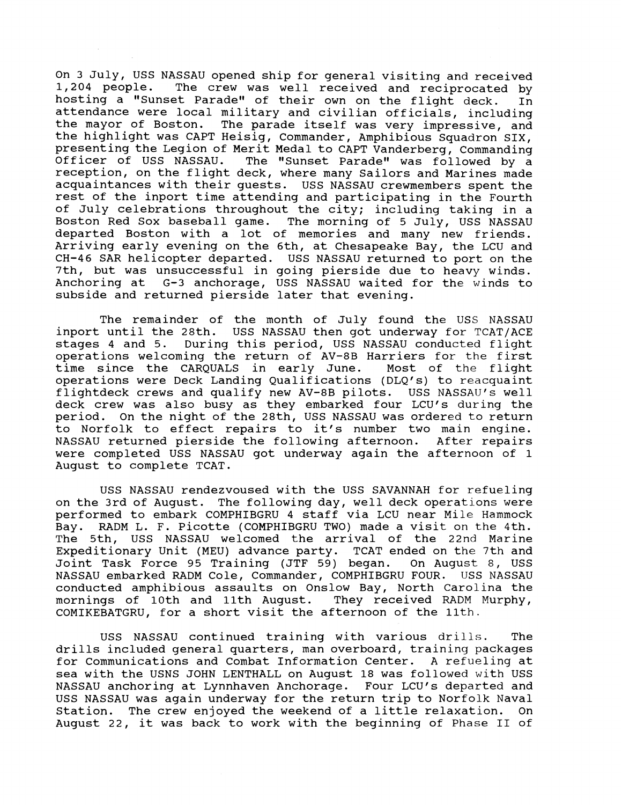On 3 July, USS NASSAU opened ship for general visiting and received<br>1,204 people. The crew was well received and reciprocated by The crew was well received and reciprocated by hosting a "Sunset Parade" of their own on the flight deck. In attendance were local military and civilian officials, including the mayor of Boston. The parade itself was very impressive, and the highlight was CAPT Heisig, Commander, Amphibious Squadron SIX, presenting the Legion of Merit Medal to CAPT Vanderberg, Commanding Officer of USS NASSAU. The "Sunset Parade" was followed by a reception, on the flight deck, where many sailors and Marines made acquaintances with their guests. USS NASSAU crewmembers spent the rest of the inport time attending and participating in the Fourth of July celebrations throughout the city; including taking in a Boston Red Sox baseball game. The morning of 5 July, USS NASSAU departed Boston with a lot of memories and many new friends. Arriving early evening on the 6th, at Chesapeake Bay, the LCU and CH-46 SAR helicopter departed. USS NASSAU returned to port on the 7th, but was unsuccessful in going pierside due to heavy winds. Anchoring at G-3 anchorage, USS NASSAU waited for the winds to subside and returned pierside later that evening.

The remainder of the month of July found the USS NASSAU inport until the 28th. USS NASSAU then got underway for TCAT/ACE stages 4 and 5. During this period, USS NASSAU conducted flight operations welcoming the return of AV-8B Harriers for the first<br>time since the CAROUALS in early June. Most of the flight time since the CARQUALS in early June. operations were Deck Landing Qualifications (DLQ's) to reacquaint flightdeck crews and qualify new AV-8B pilots. USS NASSAU'S well deck crew was also busy as they embarked four LCU's during the period. On the night of the 28th, USS NASSAU was ordered to return to Norfolk to effect repairs to it's number two main engine. NASSAU returned pierside the following afternoon. After repairs were completed USS NASSAU got underway again the afternoon of 1 August to complete TCAT.

USS NASSAU rendezvoused with the USS SAVANNAH for refueling on the 3rd of August. The following day, well deck operations were performed to embark COMPHIBGRU 4 staff via LCU near Mile Hammock Bay. RADM L. F. Picotte (COMPHIBGRU TWO) made a visit on the 4th. The 5th, USS NASSAU welcomed the arrival of the 22nd Marine Expeditionary Unit (MEU) advance party. TCAT ended on the 7th and Joint Task Force 95 Training (JTF 59) began. On August 8, USS NASSAU embarked RADM Cole, Commander, COMPHIBGRU FOUR. USS NASSAU conducted amphibious assaults on Onslow Bay, North Carolina the mornings of 10th and 11th August. They received RADM Murphy, COMIKEBATGRU, for a short visit the afternoon of the 11th.

USS NASSAU continued training with various drills. The drills included general quarters, man overboard, training packages for Communications and Combat Information Center. A refueling at sea with the USNS JOHN LENTHALL on August 18 was followed with USS NASSAU anchoring at Lynnhaven Anchorage. Four LCU's departed and USS NASSAU was again underway for the return trip to Norfolk Naval Station. The crew enjoyed the weekend of a little relaxation. On August 22, it was back to work with the beginning of Phase **I1** of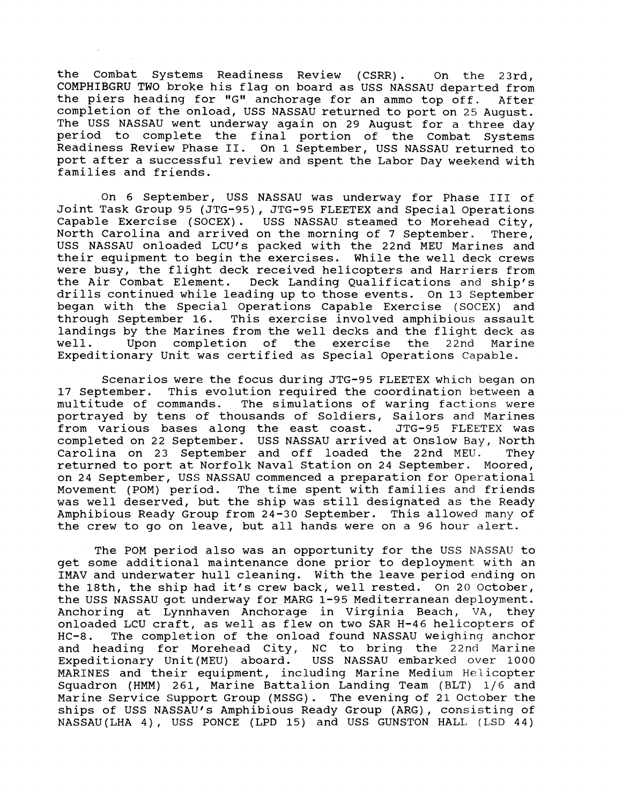the Combat Systems Readiness Review (CSRR). On the 23rd, COMPHIBGRU TWO broke his flag on board as USS NASSAU departed from the piers heading for "G" anchorage for an ammo top off. After completion of the onload, USS NASSAU returned to port on 25 August. The USS NASSAU went underway again on 29 August for a three day period to complete the final portion of the Combat Systems Readiness Review Phase 11. On 1 September, USS NASSAU returned to port after a successful review and spent the Labor Day weekend with families and friends.

On 6 September, USS NASSAU was underway for Phase I11 of Joint Task Group 95 (JTG-95), JTG-95 FLEETEX and Special Operations Capable Exercise (SOCEX). USS NASSAU steamed to Morehead City,<br>North Carolina and arrived on the morning of 7 September. There, North Carolina and arrived on the morning of 7 September. USS NASSAU onloaded LCU's packed with the 22nd MEU Marines and their equipment to begin the exercises. While the well deck crews were busy, the flight deck received helicopters and Harriers from<br>the Air Combat Element. Deck Landing Qualifications and ship's Deck Landing Qualifications and ship's drills continued while leading up to those events. On 13 September began with the Special Operations Capable Exercise (SOCEX) and through September 16. This exercise involved amphibious assault landings by the Marines from the well decks and the flight deck as<br>well. Upon completion of the exercise the 22nd Marine well. Upon completion of the exercise the 22nd Marine Expeditionary unit was certified as Special Operations Capable.

Scenarios were the focus during JTG-95 FLEETEX which began on 17 September. This evolution required the coordination between a multitude of commands. The simulations of waring factions were The simulations of waring factions were portrayed by tens of thousands of Soldiers, Sailors and Marines<br>from various bases along the east coast. JTG-95 FLEETEX was from various bases along the east coast. completed on 22 September. USS NASSAU arrived at Onslow Bay, North Carolina on 23 September and off loaded the 22nd MEU. They returned to port at Norfolk Naval Station on 24 September. Moored, on 24 September, USS NASSAU commenced a preparation for Operational Movement (POM) period. The time spent with families and friends The time spent with families and friends was well deserved, but the ship was still designated as the Ready Amphibious Ready Group from 24-30 September. This allowed many of the crew to go on leave, but all hands were on a 96 hour alert.

The POM period also was an opportunity for the USS NASSAU to get some additional maintenance done prior to deployment with an IMAV and underwater hull cleaning. With the leave period ending on the 18th, the ship had it's crew back, well rested. On 20 October, the USS NASSAU got underway for MARG 1-95 Mediterranean deployment. Anchoring at Lynnhaven Anchorage in Virginia Beach, VA, they onloaded LCU craft, as well as flew on two SAR H-46 helicopters of HC-8. The completion of the onload found NASSAU weighing anchor and heading for Morehead City, NC to bring the 22nd Marine<br>Expeditionary Unit(MEU) aboard. USS NASSAU embarked over 1000 Expeditionary Unit(MEU) aboard. MARINES and their equipment, including Marine Medium Helicopter Squadron (HMM) 261, Marine Battalion Landing Team (BLT)  $1/6$  and Marine Service Support Group (MSSG) . The evening of 21 October the ships of USS NASSAU'S Amphibious Ready Group (ARG), consisting of NASSAU(LHA 4) , USS PONCE (LPD 15) and USS GUNSTON HALL (LSD 44)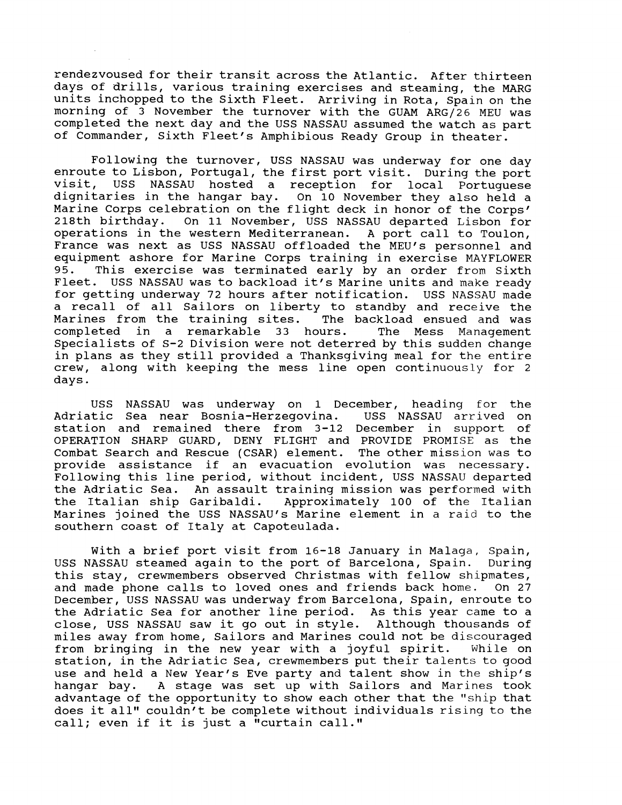rendezvoused for their transit across the Atlantic. After thirteen days of drills, various training exercises and steaming, the MARG units inchopped to the Sixth Fleet. Arriving in Rota, Spain on the morning of 3 November the turnover with the GUAM ARG/26 MEU was completed the next day and the USS NASSAU assumed the watch as part of Commander, Sixth Fleet's Amphibious Ready Group in theater.

Following the turnover, USS NASSAU was underway for one day enroute to Lisbon, Portugal, the first port visit. During the port<br>visit. USS NASSAU hosted a reception for local Portuguese USS NASSAU hosted a reception for local Portuguese dignitaries in the hangar bay. On 10 November they also held a Marine Corps celebration on the flight deck in honor of the Corps'<br>218th birthday. On 11 November, USS NASSAU departed Lisbon for On 11 November, USS NASSAU departed Lisbon for operations in the western Mediterranean. A port call to Toulon, France was next as USS NASSAU offloaded the MEU's personnel and equipment ashore for Marine Corps training in exercise MAYFLOWER 95. This exercise was terminated early by an order from Sixth Fleet. USS NASSAU was to backload it's Marine units and make ready for getting underway 72 hours after notification. USS NASSAU made a recall of all Sailors on liberty to standby and receive the<br>Marines from the training sites. The backload ensued and was Marines from the training sites. The backload ensued and was completed in a remarkable 33 hours. The Mess Management completed in a remarkable 33 hours. specialists of S-2 Division were not deterred by this sudden change in plans as they still provided a Thanksgiving meal for the entire crew, along with keeping the mess line open continuously for 2 days.

USS NASSAU was underway on 1 December, heading for the Adriatic Sea near Bosnia-Herzegovina. USS NASSAU arrived on station and remained there from 3-12 December in support of OPERATION SHARP GUARD, DENY FLIGHT and PROVIDE PROMISE as the Combat Search and Rescue (CSAR) element. The other mission was to provide assistance if an evacuation evolution was necessary. Following this line period, without incident, USS NASSAU departed the Adriatic Sea. An assault training mission was performed with the Italian ship Garibaldi. Approximately 100 of the Italian Marines joined the USS NASSAU'S Marine element in a raid to the southern coast of Italy at Capoteulada.

With a brief port visit from 16-18 January in Malaga, Spain,<br>NASSAU steamed again to the port of Barcelona, Spain. During USS NASSAU steamed again to the port of Barcelona, Spain. this stay, crewmembers observed Christmas with fellow shipmates,<br>and made phone calls to loved ones and friends back home. On 27 and made phone calls to loved ones and friends back home. December, USS NASSAU was underway from Barcelona, Spain, enroute to the Adriatic Sea for another line period. As this year came to a close, USS NASSAU saw it go out in style. Although thousands of miles away from home, Sailors and Marines could not be discouraged<br>from bringing in the new year with a joyful spirit. While on from bringing in the new year with a joyful spirit. station, in the Adriatic Sea, crewmembers put their talents to good use and held a New Year's Eve party and talent show in the ship's hangar bay. A stage was set up with Sailors and Marines took advantage of the opportunity to show each other that the "ship that does it all" couldn't be complete without individuals rising to the call; even if it is just a "curtain call."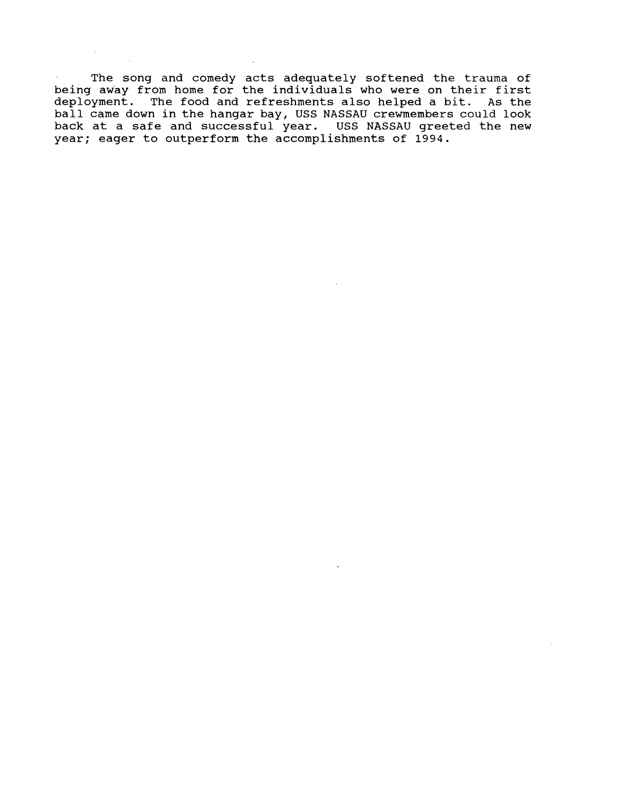The song and comedy acts adequately softened the trauma of being away from home for the individuals who were on their first deployment. The food and refreshments also helped a bit. As the ball came down in the hangar bay, USS NASSAU crewmembers could look back at a safe and successful year. USS NASSAU greeted the new year; eager to outperform the accomplishments of 1994.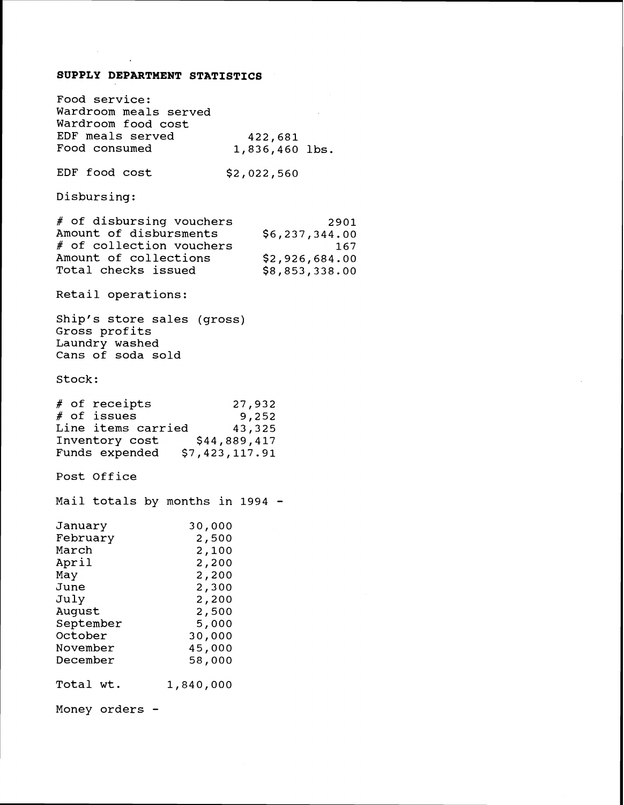## **SUPPLY DEPARTMENT STATISTICS**

 $\mathcal{L}^{\text{max}}_{\text{max}}$ 

 $\bullet$ 

| Food service:<br>Wardroom meals served<br>Wardroom food cost<br>EDF meals served<br>422,681<br>Food consumed<br>1,836,460 lbs.                                                                                                         |
|----------------------------------------------------------------------------------------------------------------------------------------------------------------------------------------------------------------------------------------|
| EDF food cost<br>\$2,022,560                                                                                                                                                                                                           |
| Disbursing:                                                                                                                                                                                                                            |
| # of disbursing vouchers<br>2901<br>Amount of disbursments<br>\$6,237,344.00<br># of collection vouchers<br>167<br>Amount of collections<br>\$2,926,684.00<br>Total checks issued<br>\$8,853,338.00                                    |
| Retail operations:                                                                                                                                                                                                                     |
| Ship's store sales (gross)<br>Gross profits<br>Laundry washed<br>Cans of soda sold                                                                                                                                                     |
| Stock:                                                                                                                                                                                                                                 |
| # of receipts<br>27,932<br># of issues<br>9,252<br>Line items carried<br>43,325<br>Inventory cost<br>\$44,889,417<br>Funds expended \$7,423,117.91                                                                                     |
| Post Office                                                                                                                                                                                                                            |
| Mail totals by months in 1994 -                                                                                                                                                                                                        |
| January<br>30,000<br>February<br>2,500<br>March<br>2,100<br>April<br>2,200<br>May<br>2,200<br>June<br>2,300<br>July<br>2,200<br>August<br>2,500<br>September<br>5,000<br>October<br>30,000<br>November<br>45,000<br>December<br>58,000 |
| Total wt.<br>1,840,000                                                                                                                                                                                                                 |
| Money orders                                                                                                                                                                                                                           |